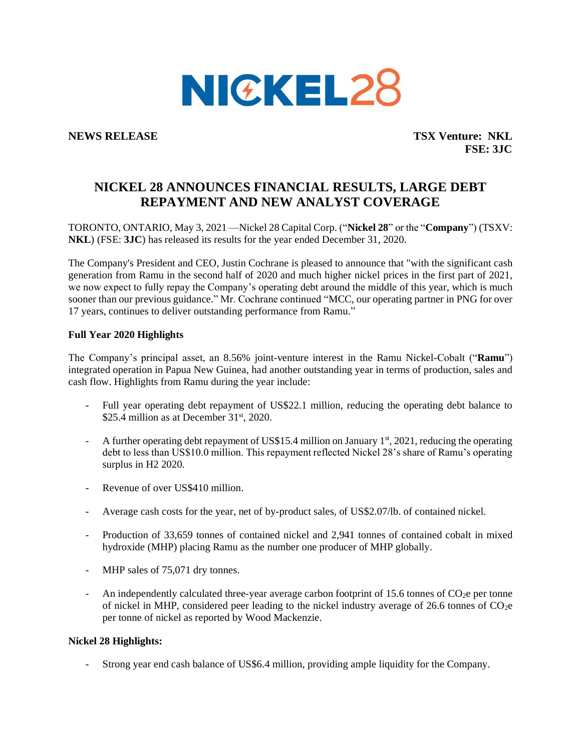

**NEWS RELEASE TSX Venture: NKL FSE: 3JC**

# **NICKEL 28 ANNOUNCES FINANCIAL RESULTS, LARGE DEBT REPAYMENT AND NEW ANALYST COVERAGE**

TORONTO, ONTARIO, May 3, 2021 —Nickel 28 Capital Corp. ("**Nickel 28**" or the "**Company**") (TSXV: **NKL**) (FSE: **3JC**) has released its results for the year ended December 31, 2020.

The Company's President and CEO, Justin Cochrane is pleased to announce that "with the significant cash generation from Ramu in the second half of 2020 and much higher nickel prices in the first part of 2021, we now expect to fully repay the Company's operating debt around the middle of this year, which is much sooner than our previous guidance." Mr. Cochrane continued "MCC, our operating partner in PNG for over 17 years, continues to deliver outstanding performance from Ramu."

# **Full Year 2020 Highlights**

The Company's principal asset, an 8.56% joint-venture interest in the Ramu Nickel-Cobalt ("**Ramu**") integrated operation in Papua New Guinea, had another outstanding year in terms of production, sales and cash flow. Highlights from Ramu during the year include:

- Full year operating debt repayment of US\$22.1 million, reducing the operating debt balance to \$25.4 million as at December  $31<sup>st</sup>$ , 2020.
- A further operating debt repayment of US\$15.4 million on January 1<sup>st</sup>, 2021, reducing the operating debt to less than US\$10.0 million. This repayment reflected Nickel 28's share of Ramu's operating surplus in H2 2020.
- Revenue of over US\$410 million.
- Average cash costs for the year, net of by-product sales, of US\$2.07/lb. of contained nickel.
- Production of 33,659 tonnes of contained nickel and 2,941 tonnes of contained cobalt in mixed hydroxide (MHP) placing Ramu as the number one producer of MHP globally.
- MHP sales of 75,071 dry tonnes.
- An independently calculated three-year average carbon footprint of 15.6 tonnes of  $CO<sub>2</sub>e$  per tonne of nickel in MHP, considered peer leading to the nickel industry average of 26.6 tonnes of  $CO<sub>2</sub>e$ per tonne of nickel as reported by Wood Mackenzie.

### **Nickel 28 Highlights:**

- Strong year end cash balance of US\$6.4 million, providing ample liquidity for the Company.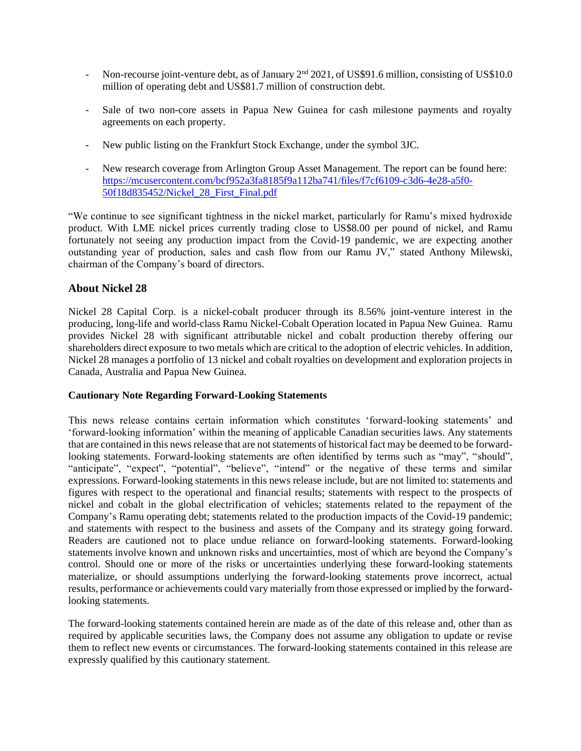- Non-recourse joint-venture debt, as of January 2<sup>nd</sup> 2021, of US\$91.6 million, consisting of US\$10.0 million of operating debt and US\$81.7 million of construction debt.
- Sale of two non-core assets in Papua New Guinea for cash milestone payments and royalty agreements on each property.
- New public listing on the Frankfurt Stock Exchange, under the symbol 3JC.
- New research coverage from Arlington Group Asset Management. The report can be found here: [https://mcusercontent.com/bcf952a3fa8185f9a112ba741/files/f7cf6109-c3d6-4e28-a5f0-](https://mcusercontent.com/bcf952a3fa8185f9a112ba741/files/f7cf6109-c3d6-4e28-a5f0-50f18d835452/Nickel_28_First_Final.pdf) [50f18d835452/Nickel\\_28\\_First\\_Final.pdf](https://mcusercontent.com/bcf952a3fa8185f9a112ba741/files/f7cf6109-c3d6-4e28-a5f0-50f18d835452/Nickel_28_First_Final.pdf)

"We continue to see significant tightness in the nickel market, particularly for Ramu's mixed hydroxide product. With LME nickel prices currently trading close to US\$8.00 per pound of nickel, and Ramu fortunately not seeing any production impact from the Covid-19 pandemic, we are expecting another outstanding year of production, sales and cash flow from our Ramu JV," stated Anthony Milewski, chairman of the Company's board of directors.

# **About Nickel 28**

Nickel 28 Capital Corp. is a nickel-cobalt producer through its 8.56% joint-venture interest in the producing, long-life and world-class Ramu Nickel-Cobalt Operation located in Papua New Guinea. Ramu provides Nickel 28 with significant attributable nickel and cobalt production thereby offering our shareholders direct exposure to two metals which are critical to the adoption of electric vehicles. In addition, Nickel 28 manages a portfolio of 13 nickel and cobalt royalties on development and exploration projects in Canada, Australia and Papua New Guinea.

### **Cautionary Note Regarding Forward-Looking Statements**

This news release contains certain information which constitutes 'forward-looking statements' and 'forward-looking information' within the meaning of applicable Canadian securities laws. Any statements that are contained in this news release that are not statements of historical fact may be deemed to be forwardlooking statements. Forward-looking statements are often identified by terms such as "may", "should", "anticipate", "expect", "potential", "believe", "intend" or the negative of these terms and similar expressions. Forward-looking statements in this news release include, but are not limited to: statements and figures with respect to the operational and financial results; statements with respect to the prospects of nickel and cobalt in the global electrification of vehicles; statements related to the repayment of the Company's Ramu operating debt; statements related to the production impacts of the Covid-19 pandemic; and statements with respect to the business and assets of the Company and its strategy going forward. Readers are cautioned not to place undue reliance on forward-looking statements. Forward-looking statements involve known and unknown risks and uncertainties, most of which are beyond the Company's control. Should one or more of the risks or uncertainties underlying these forward-looking statements materialize, or should assumptions underlying the forward-looking statements prove incorrect, actual results, performance or achievements could vary materially from those expressed or implied by the forwardlooking statements.

The forward-looking statements contained herein are made as of the date of this release and, other than as required by applicable securities laws, the Company does not assume any obligation to update or revise them to reflect new events or circumstances. The forward-looking statements contained in this release are expressly qualified by this cautionary statement.